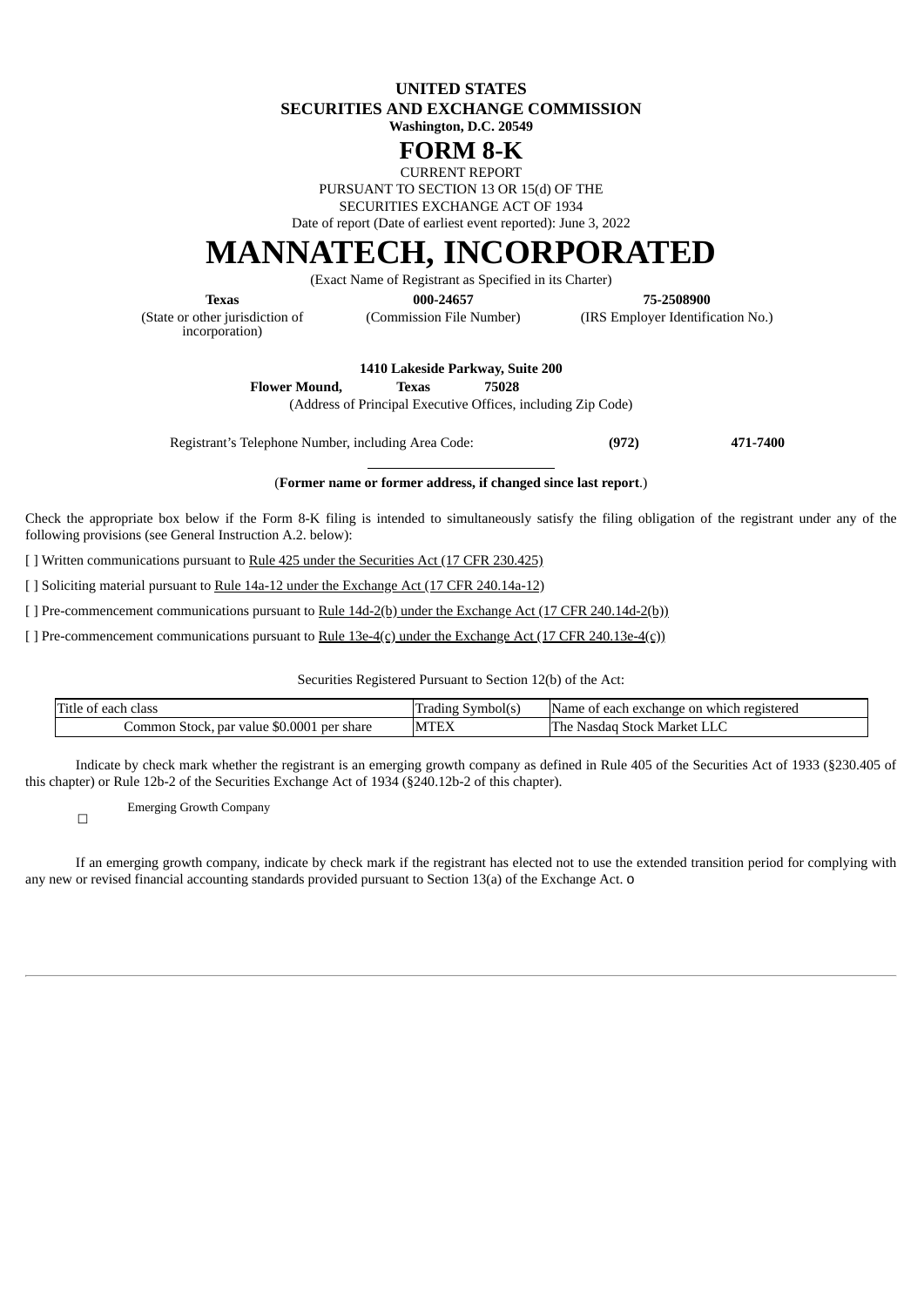**UNITED STATES SECURITIES AND EXCHANGE COMMISSION**

**Washington, D.C. 20549**

# **FORM 8-K**

CURRENT REPORT

PURSUANT TO SECTION 13 OR 15(d) OF THE SECURITIES EXCHANGE ACT OF 1934

Date of report (Date of earliest event reported): June 3, 2022

# **MANNATECH, INCORPORATED**

(Exact Name of Registrant as Specified in its Charter)

(State or other jurisdiction of incorporation)

**Texas 000-24657 75-2508900**

(Commission File Number) (IRS Employer Identification No.)

**1410 Lakeside Parkway, Suite 200 Flower Mound, Texas 75028**

(Address of Principal Executive Offices, including Zip Code)

Registrant's Telephone Number, including Area Code: **(972) 471-7400**

#### (**Former name or former address, if changed since last report**.)

Check the appropriate box below if the Form 8-K filing is intended to simultaneously satisfy the filing obligation of the registrant under any of the following provisions (see General Instruction A.2. below):

[ ] Written communications pursuant to Rule 425 under the Securities Act (17 CFR 230.425)

[ ] Soliciting material pursuant to Rule 14a-12 under the Exchange Act (17 CFR 240.14a-12)

[ ] Pre-commencement communications pursuant to Rule  $14d-2(b)$  under the Exchange Act (17 CFR 240.14d-2(b))

[ ] Pre-commencement communications pursuant to Rule 13e-4(c) under the Exchange Act (17 CFR 240.13e-4(c))

Securities Registered Pursuant to Section 12(b) of the Act:

| Title<br>of each '<br>class                   | Symbol(s)<br>Trading | Name of<br>v which registered<br>: each exchange on : |
|-----------------------------------------------|----------------------|-------------------------------------------------------|
| Common Stock, par value \$0.0001<br>per share | <b>COUNT</b><br>MLE  | The<br>Stock Market '<br>Nasdad<br>بابلط              |

Indicate by check mark whether the registrant is an emerging growth company as defined in Rule 405 of the Securities Act of 1933 (§230.405 of this chapter) or Rule 12b-2 of the Securities Exchange Act of 1934 (§240.12b-2 of this chapter).

Emerging Growth Company

☐

If an emerging growth company, indicate by check mark if the registrant has elected not to use the extended transition period for complying with any new or revised financial accounting standards provided pursuant to Section 13(a) of the Exchange Act. o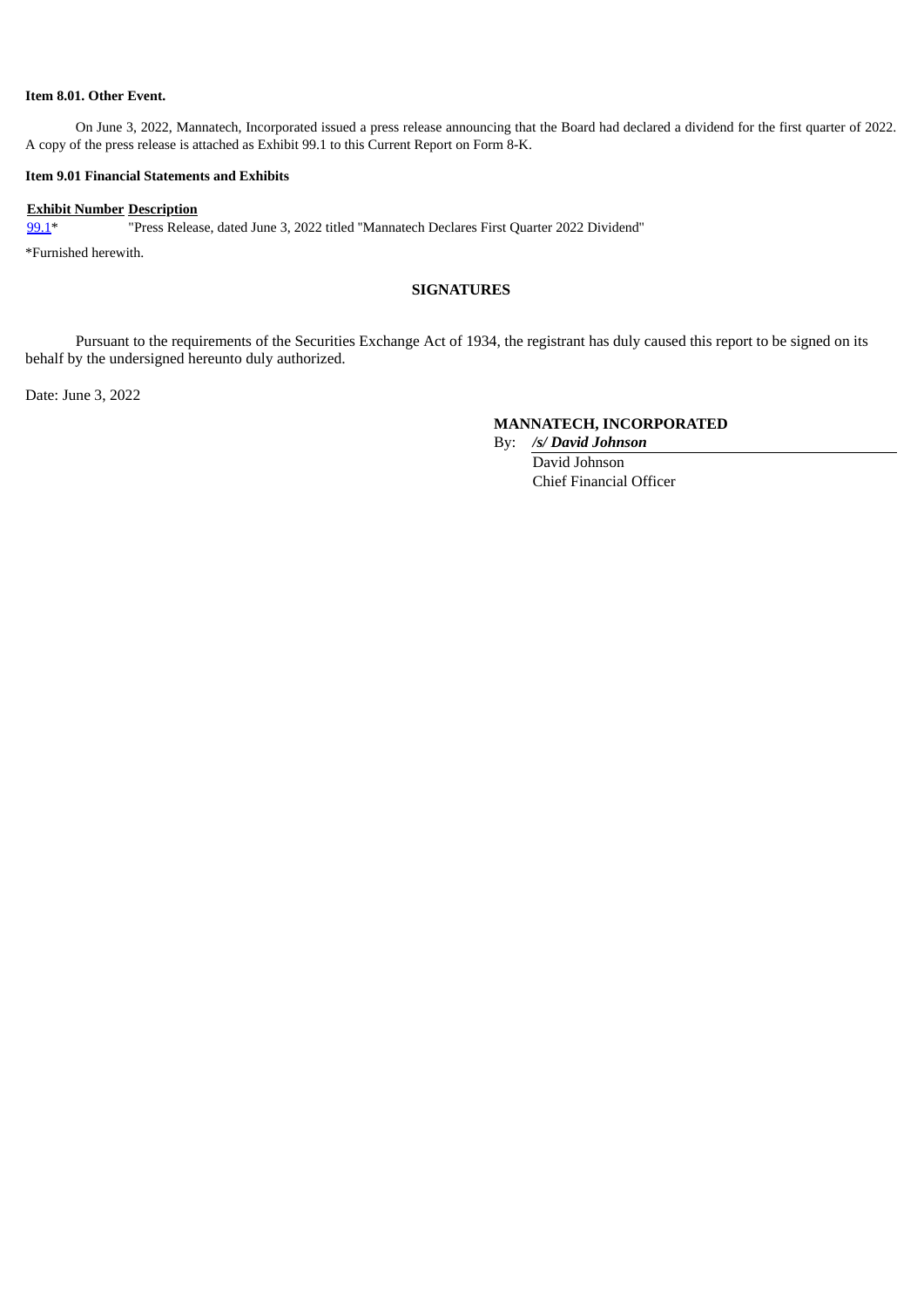#### **Item 8.01. Other Event.**

On June 3, 2022, Mannatech, Incorporated issued a press release announcing that the Board had declared a dividend for the first quarter of 2022. A copy of the press release is attached as Exhibit 99.1 to this Current Report on Form 8-K.

#### **Item 9.01 Financial Statements and Exhibits**

#### **Exhibit Number Description**

[99.1](#page-2-0)\* "Press Release, dated June 3, 2022 titled ''Mannatech Declares First Quarter 2022 Dividend''

\*Furnished herewith.

## **SIGNATURES**

Pursuant to the requirements of the Securities Exchange Act of 1934, the registrant has duly caused this report to be signed on its behalf by the undersigned hereunto duly authorized.

Date: June 3, 2022

## **MANNATECH, INCORPORATED**

By: */s/ David Johnson*

David Johnson Chief Financial Officer